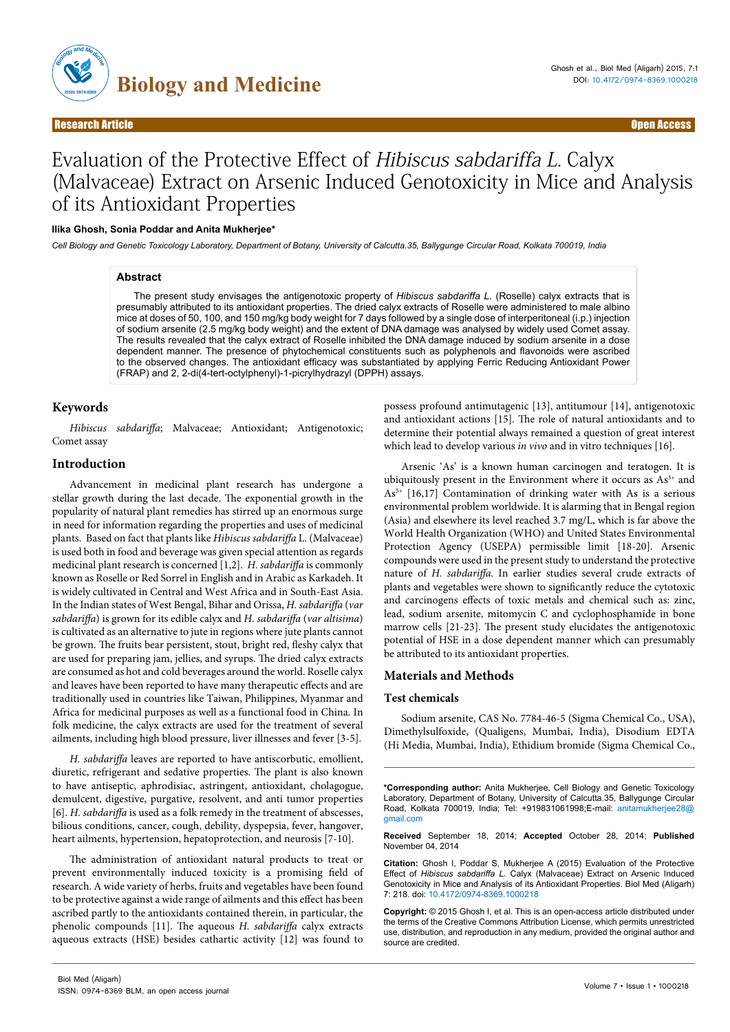

# Evaluation of the Protective Effect of Hibiscus sabdariffa L. Calyx (Malvaceae) Extract on Arsenic Induced Genotoxicity in Mice and Analysis of its Antioxidant Properties

#### **Ilika Ghosh, Sonia Poddar and Anita Mukherjee\***

*Cell Biology and Genetic Toxicology Laboratory, Department of Botany, University of Calcutta.35, Ballygunge Circular Road, Kolkata 700019, India*

## **Abstract**

The present study envisages the antigenotoxic property of *Hibiscus sabdariffa L.* (Roselle) calyx extracts that is presumably attributed to its antioxidant properties. The dried calyx extracts of Roselle were administered to male albino mice at doses of 50, 100, and 150 mg/kg body weight for 7 days followed by a single dose of interperitoneal (i.p.) injection of sodium arsenite (2.5 mg/kg body weight) and the extent of DNA damage was analysed by widely used Comet assay. The results revealed that the calyx extract of Roselle inhibited the DNA damage induced by sodium arsenite in a dose dependent manner. The presence of phytochemical constituents such as polyphenols and flavonoids were ascribed to the observed changes. The antioxidant efficacy was substantiated by applying Ferric Reducing Antioxidant Power (FRAP) and 2, 2-di(4-tert-octylphenyl)-1-picrylhydrazyl (DPPH) assays.

## **Keywords**

*Hibiscus sabdariffa*; Malvaceae; Antioxidant; Antigenotoxic; Comet assay

## **Introduction**

Advancement in medicinal plant research has undergone a stellar growth during the last decade. The exponential growth in the popularity of natural plant remedies has stirred up an enormous surge in need for information regarding the properties and uses of medicinal plants. Based on fact that plants like *Hibiscus sabdariffa* L. (Malvaceae) is used both in food and beverage was given special attention as regards medicinal plant research is concerned [1,2]. *H. sabdariffa* is commonly known as Roselle or Red Sorrel in English and in Arabic as Karkadeh. It is widely cultivated in Central and West Africa and in South-East Asia. In the Indian states of West Bengal, Bihar and Orissa, *H. sabdariffa* (*var sabdariffa*) is grown for its edible calyx and *H. sabdariffa* (*var altisima*) is cultivated as an alternative to jute in regions where jute plants cannot be grown. The fruits bear persistent, stout, bright red, fleshy calyx that are used for preparing jam, jellies, and syrups. The dried calyx extracts are consumed as hot and cold beverages around the world. Roselle calyx and leaves have been reported to have many therapeutic effects and are traditionally used in countries like Taiwan, Philippines, Myanmar and Africa for medicinal purposes as well as a functional food in China. In folk medicine, the calyx extracts are used for the treatment of several ailments, including high blood pressure, liver illnesses and fever [3-5].

*H. sabdariffa* leaves are reported to have antiscorbutic, emollient, diuretic, refrigerant and sedative properties. The plant is also known to have antiseptic, aphrodisiac, astringent, antioxidant, cholagogue, demulcent, digestive, purgative, resolvent, and anti tumor properties [6]. *H. sabdariffa* is used as a folk remedy in the treatment of abscesses, bilious conditions, cancer, cough, debility, dyspepsia, fever, hangover, heart ailments, hypertension, hepatoprotection, and neurosis [7-10].

The administration of antioxidant natural products to treat or prevent environmentally induced toxicity is a promising field of research. A wide variety of herbs, fruits and vegetables have been found to be protective against a wide range of ailments and this effect has been ascribed partly to the antioxidants contained therein, in particular, the phenolic compounds [11]. The aqueous *H. sabdariffa* calyx extracts aqueous extracts (HSE) besides cathartic activity [12] was found to

possess profound antimutagenic [13], antitumour [14], antigenotoxic and antioxidant actions [15]. The role of natural antioxidants and to determine their potential always remained a question of great interest which lead to develop various *in vivo* and in vitro techniques [16].

Arsenic 'As' is a known human carcinogen and teratogen. It is ubiquitously present in the Environment where it occurs as  $As<sup>3+</sup>$  and As<sup>5+</sup> [16,17] Contamination of drinking water with As is a serious environmental problem worldwide. It is alarming that in Bengal region (Asia) and elsewhere its level reached 3.7 mg/L, which is far above the World Health Organization (WHO) and United States Environmental Protection Agency (USEPA) permissible limit [18-20]. Arsenic compounds were used in the present study to understand the protective nature of *H. sabdariffa.* In earlier studies several crude extracts of plants and vegetables were shown to significantly reduce the cytotoxic and carcinogens effects of toxic metals and chemical such as: zinc, lead, sodium arsenite, mitomycin C and cyclophosphamide in bone marrow cells [21-23]. The present study elucidates the antigenotoxic potential of HSE in a dose dependent manner which can presumably be attributed to its antioxidant properties.

#### **Materials and Methods**

#### **Test chemicals**

Sodium arsenite, CAS No. 7784-46-5 (Sigma Chemical Co., USA), Dimethylsulfoxide, (Qualigens, Mumbai, India), Disodium EDTA (Hi Media, Mumbai, India), Ethidium bromide (Sigma Chemical Co.,

**Received** September 18, 2014; **Accepted** October 28, 2014; **Published** November 04, 2014

**Citation:** Ghosh I, Poddar S, Mukherjee A (2015) Evaluation of the Protective Effect of *Hibiscus sabdariffa L.* Calyx (Malvaceae) Extract on Arsenic Induced Genotoxicity in Mice and Analysis of its Antioxidant Properties. Biol Med (Aligarh) 7: 218. doi: 10.4172/0974-8369.1000218

**Copyright:** © 2015 Ghosh I, et al. This is an open-access article distributed under the terms of the Creative Commons Attribution License, which permits unrestricted use, distribution, and reproduction in any medium, provided the original author and source are credited.

**<sup>\*</sup>Corresponding author:** Anita Mukherjee, Cell Biology and Genetic Toxicology Laboratory, Department of Botany, University of Calcutta.35, Ballygunge Circular Road, Kolkata 700019, India; Tel: +919831061998;E-mail: anitamukherjee28@ gmail.com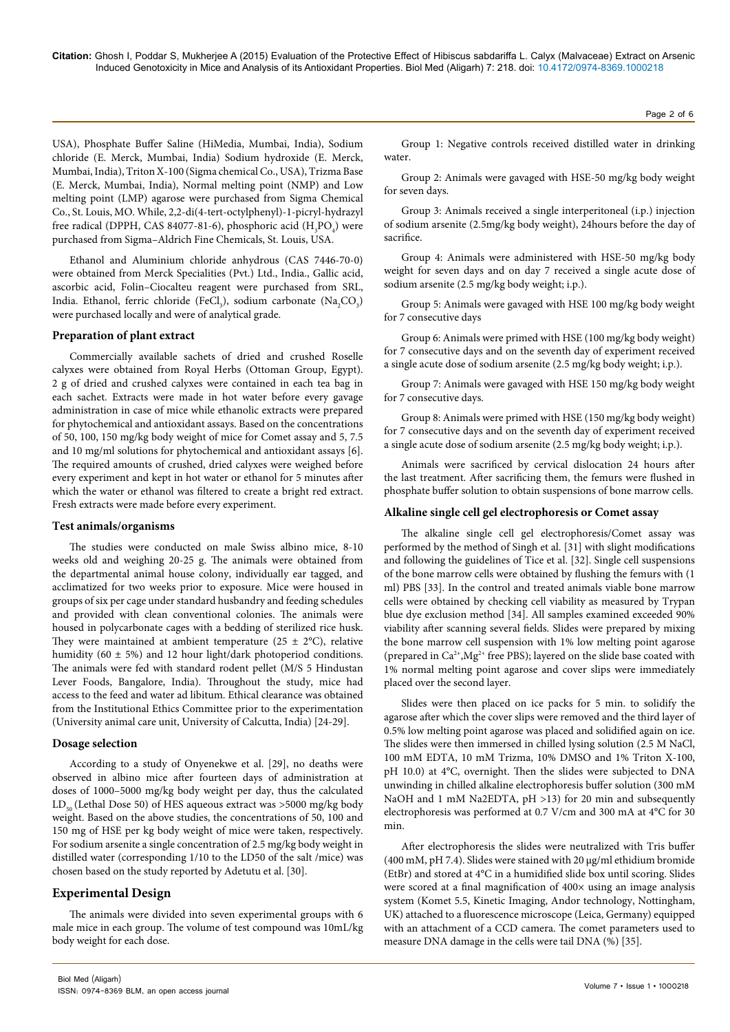Page 2 of 6

USA), Phosphate Buffer Saline (HiMedia, Mumbai, India), Sodium chloride (E. Merck, Mumbai, India) Sodium hydroxide (E. Merck, Mumbai, India), Triton X-100 (Sigma chemical Co., USA), Trizma Base (E. Merck, Mumbai, India), Normal melting point (NMP) and Low melting point (LMP) agarose were purchased from Sigma Chemical Co., St. Louis, MO. While, 2,2-di(4-tert-octylphenyl)-1-picryl-hydrazyl free radical (DPPH, CAS 84077-81-6), phosphoric acid  $(H_3PO_4)$  were purchased from Sigma–Aldrich Fine Chemicals, St. Louis, USA.

Ethanol and Aluminium chloride anhydrous (CAS 7446-70-0) were obtained from Merck Specialities (Pvt.) Ltd., India., Gallic acid, ascorbic acid, Folin–Ciocalteu reagent were purchased from SRL, India. Ethanol, ferric chloride (FeCl<sub>3</sub>), sodium carbonate  $(Na_{2}CO_{3})$ were purchased locally and were of analytical grade.

## **Preparation of plant extract**

Commercially available sachets of dried and crushed Roselle calyxes were obtained from Royal Herbs (Ottoman Group, Egypt). 2 g of dried and crushed calyxes were contained in each tea bag in each sachet. Extracts were made in hot water before every gavage administration in case of mice while ethanolic extracts were prepared for phytochemical and antioxidant assays. Based on the concentrations of 50, 100, 150 mg/kg body weight of mice for Comet assay and 5, 7.5 and 10 mg/ml solutions for phytochemical and antioxidant assays [6]. The required amounts of crushed, dried calyxes were weighed before every experiment and kept in hot water or ethanol for 5 minutes after which the water or ethanol was filtered to create a bright red extract. Fresh extracts were made before every experiment.

#### **Test animals/organisms**

The studies were conducted on male Swiss albino mice, 8-10 weeks old and weighing 20-25 g. The animals were obtained from the departmental animal house colony, individually ear tagged, and acclimatized for two weeks prior to exposure. Mice were housed in groups of six per cage under standard husbandry and feeding schedules and provided with clean conventional colonies. The animals were housed in polycarbonate cages with a bedding of sterilized rice husk. They were maintained at ambient temperature (25  $\pm$  2°C), relative humidity (60  $\pm$  5%) and 12 hour light/dark photoperiod conditions. The animals were fed with standard rodent pellet (M/S 5 Hindustan Lever Foods, Bangalore, India). Throughout the study, mice had access to the feed and water ad libitum. Ethical clearance was obtained from the Institutional Ethics Committee prior to the experimentation (University animal care unit, University of Calcutta, India) [24-29].

## **Dosage selection**

According to a study of Onyenekwe et al. [29], no deaths were observed in albino mice after fourteen days of administration at doses of 1000–5000 mg/kg body weight per day, thus the calculated  $LD_{\epsilon_0}$  (Lethal Dose 50) of HES aqueous extract was >5000 mg/kg body weight. Based on the above studies, the concentrations of 50, 100 and 150 mg of HSE per kg body weight of mice were taken, respectively. For sodium arsenite a single concentration of 2.5 mg/kg body weight in distilled water (corresponding 1/10 to the LD50 of the salt /mice) was chosen based on the study reported by Adetutu et al. [30].

# **Experimental Design**

The animals were divided into seven experimental groups with 6 male mice in each group. The volume of test compound was 10mL/kg body weight for each dose.

Group 2: Animals were gavaged with HSE-50 mg/kg body weight for seven days.

Group 3: Animals received a single interperitoneal (i.p.) injection of sodium arsenite (2.5mg/kg body weight), 24hours before the day of sacrifice.

Group 4: Animals were administered with HSE-50 mg/kg body weight for seven days and on day 7 received a single acute dose of sodium arsenite (2.5 mg/kg body weight; i.p.).

Group 5: Animals were gavaged with HSE 100 mg/kg body weight for 7 consecutive days

Group 6: Animals were primed with HSE (100 mg/kg body weight) for 7 consecutive days and on the seventh day of experiment received a single acute dose of sodium arsenite (2.5 mg/kg body weight; i.p.).

Group 7: Animals were gavaged with HSE 150 mg/kg body weight for 7 consecutive days.

Group 8: Animals were primed with HSE (150 mg/kg body weight) for 7 consecutive days and on the seventh day of experiment received a single acute dose of sodium arsenite (2.5 mg/kg body weight; i.p.).

Animals were sacrificed by cervical dislocation 24 hours after the last treatment. After sacrificing them, the femurs were flushed in phosphate buffer solution to obtain suspensions of bone marrow cells.

## **Alkaline single cell gel electrophoresis or Comet assay**

The alkaline single cell gel electrophoresis/Comet assay was performed by the method of Singh et al. [31] with slight modifications and following the guidelines of Tice et al. [32]. Single cell suspensions of the bone marrow cells were obtained by flushing the femurs with (1 ml) PBS [33]. In the control and treated animals viable bone marrow cells were obtained by checking cell viability as measured by Trypan blue dye exclusion method [34]. All samples examined exceeded 90% viability after scanning several fields. Slides were prepared by mixing the bone marrow cell suspension with 1% low melting point agarose (prepared in  $Ca^{2+}$ , Mg<sup>2+</sup> free PBS); layered on the slide base coated with 1% normal melting point agarose and cover slips were immediately placed over the second layer.

Slides were then placed on ice packs for 5 min. to solidify the agarose after which the cover slips were removed and the third layer of 0.5% low melting point agarose was placed and solidified again on ice. The slides were then immersed in chilled lysing solution (2.5 M NaCl, 100 mM EDTA, 10 mM Trizma, 10% DMSO and 1% Triton X-100, pH 10.0) at 4°C, overnight. Then the slides were subjected to DNA unwinding in chilled alkaline electrophoresis buffer solution (300 mM NaOH and 1 mM Na2EDTA, pH >13) for 20 min and subsequently electrophoresis was performed at 0.7 V/cm and 300 mA at 4°C for 30 min.

After electrophoresis the slides were neutralized with Tris buffer (400 mM, pH 7.4). Slides were stained with 20 µg/ml ethidium bromide (EtBr) and stored at 4°C in a humidified slide box until scoring. Slides were scored at a final magnification of  $400\times$  using an image analysis system (Komet 5.5, Kinetic Imaging, Andor technology, Nottingham, UK) attached to a fluorescence microscope (Leica, Germany) equipped with an attachment of a CCD camera. The comet parameters used to measure DNA damage in the cells were tail DNA (%) [35].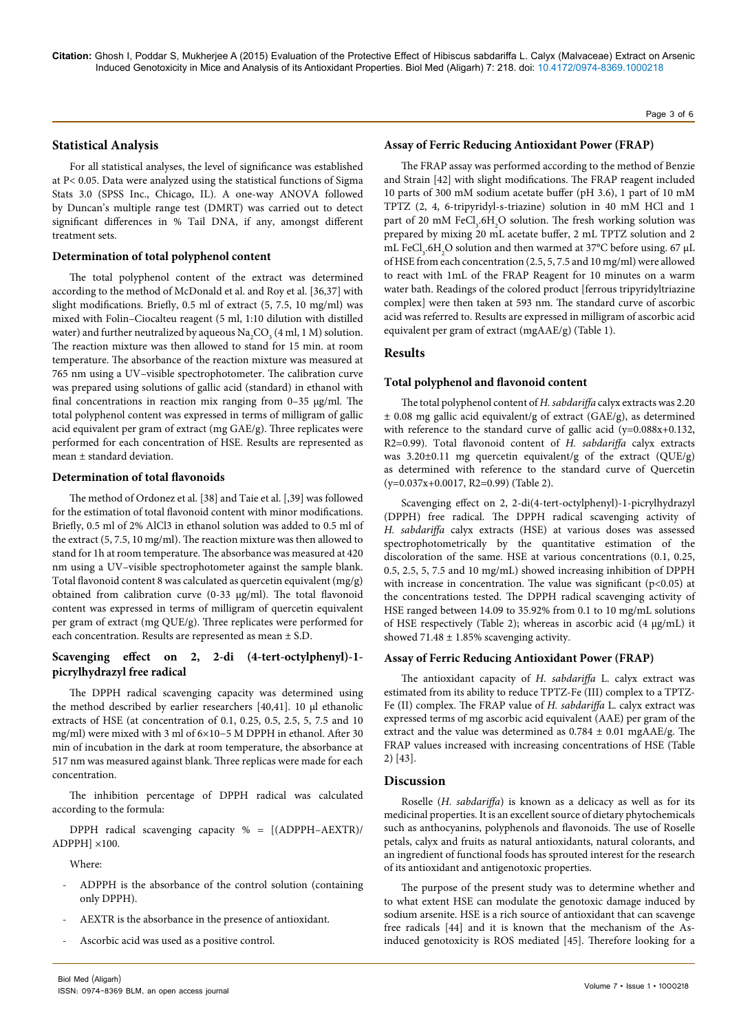## **Statistical Analysis**

For all statistical analyses, the level of significance was established at P< 0.05. Data were analyzed using the statistical functions of Sigma Stats 3.0 (SPSS Inc., Chicago, IL). A one-way ANOVA followed by Duncan's multiple range test (DMRT) was carried out to detect significant differences in % Tail DNA, if any, amongst different treatment sets.

#### **Determination of total polyphenol content**

The total polyphenol content of the extract was determined according to the method of McDonald et al. and Roy et al. [36,37] with slight modifications. Briefly, 0.5 ml of extract (5, 7.5, 10 mg/ml) was mixed with Folin–Ciocalteu reagent (5 ml, 1:10 dilution with distilled water) and further neutralized by aqueous  $\text{Na}_{2}\text{CO}_{3}$  (4 ml, 1 M) solution. The reaction mixture was then allowed to stand for 15 min. at room temperature. The absorbance of the reaction mixture was measured at 765 nm using a UV–visible spectrophotometer. The calibration curve was prepared using solutions of gallic acid (standard) in ethanol with final concentrations in reaction mix ranging from 0–35 μg/ml. The total polyphenol content was expressed in terms of milligram of gallic acid equivalent per gram of extract (mg GAE/g). Three replicates were performed for each concentration of HSE. Results are represented as mean ± standard deviation.

## **Determination of total flavonoids**

The method of Ordonez et al. [38] and Taie et al. [,39] was followed for the estimation of total flavonoid content with minor modifications. Briefly, 0.5 ml of 2% AlCl3 in ethanol solution was added to 0.5 ml of the extract (5, 7.5, 10 mg/ml). The reaction mixture was then allowed to stand for 1h at room temperature. The absorbance was measured at 420 nm using a UV–visible spectrophotometer against the sample blank. Total flavonoid content 8 was calculated as quercetin equivalent (mg/g) obtained from calibration curve (0-33 μg/ml). The total flavonoid content was expressed in terms of milligram of quercetin equivalent per gram of extract (mg QUE/g). Three replicates were performed for each concentration. Results are represented as mean ± S.D.

# **Scavenging effect on 2, 2-di (4-tert-octylphenyl)-1 picrylhydrazyl free radical**

The DPPH radical scavenging capacity was determined using the method described by earlier researchers [40,41]. 10 μl ethanolic extracts of HSE (at concentration of 0.1, 0.25, 0.5, 2.5, 5, 7.5 and 10 mg/ml) were mixed with 3 ml of 6×10−5 M DPPH in ethanol. After 30 min of incubation in the dark at room temperature, the absorbance at 517 nm was measured against blank. Three replicas were made for each concentration.

The inhibition percentage of DPPH radical was calculated according to the formula:

DPPH radical scavenging capacity  $% = [(ADPPH-AEXTR)/]$  $ADPPH1 \times 100.$ 

Where:

- ADPPH is the absorbance of the control solution (containing only DPPH).
- AEXTR is the absorbance in the presence of antioxidant.
- Ascorbic acid was used as a positive control.

## **Assay of Ferric Reducing Antioxidant Power (FRAP)**

The FRAP assay was performed according to the method of Benzie and Strain [42] with slight modifications. The FRAP reagent included 10 parts of 300 mM sodium acetate buffer (pH 3.6), 1 part of 10 mM TPTZ (2, 4, 6-tripyridyl-s-triazine) solution in 40 mM HCl and 1 part of 20 mM FeCl<sub>3</sub>.6H<sub>2</sub>O solution. The fresh working solution was prepared by mixing 20 mL acetate buffer, 2 mL TPTZ solution and 2 mL FeCl<sub>3</sub>.6H<sub>2</sub>O solution and then warmed at 37°C before using. 67  $\mu$ L of HSE from each concentration (2.5, 5, 7.5 and 10 mg/ml) were allowed to react with 1mL of the FRAP Reagent for 10 minutes on a warm water bath. Readings of the colored product [ferrous tripyridyltriazine complex] were then taken at 593 nm. The standard curve of ascorbic acid was referred to. Results are expressed in milligram of ascorbic acid equivalent per gram of extract (mgAAE/g) (Table 1).

Page 3 of 6

## **Results**

#### **Total polyphenol and flavonoid content**

The total polyphenol content of *H. sabdariffa* calyx extracts was 2.20  $\pm$  0.08 mg gallic acid equivalent/g of extract (GAE/g), as determined with reference to the standard curve of gallic acid  $(y=0.088x+0.132)$ , R2=0.99). Total flavonoid content of *H. sabdariffa* calyx extracts was 3.20±0.11 mg quercetin equivalent/g of the extract (QUE/g) as determined with reference to the standard curve of Quercetin (y=0.037x+0.0017, R2=0.99) (Table 2).

Scavenging effect on 2, 2-di(4-tert-octylphenyl)-1-picrylhydrazyl (DPPH) free radical. The DPPH radical scavenging activity of *H. sabdariffa* calyx extracts (HSE) at various doses was assessed spectrophotometrically by the quantitative estimation of the discoloration of the same. HSE at various concentrations (0.1, 0.25, 0.5, 2.5, 5, 7.5 and 10 mg/mL) showed increasing inhibition of DPPH with increase in concentration. The value was significant  $(p<0.05)$  at the concentrations tested. The DPPH radical scavenging activity of HSE ranged between 14.09 to 35.92% from 0.1 to 10 mg/mL solutions of HSE respectively (Table 2); whereas in ascorbic acid (4 µg/mL) it showed 71.48  $\pm$  1.85% scavenging activity.

## **Assay of Ferric Reducing Antioxidant Power (FRAP)**

The antioxidant capacity of *H. sabdariffa* L. calyx extract was estimated from its ability to reduce TPTZ-Fe (III) complex to a TPTZ-Fe (II) complex. The FRAP value of *H. sabdariffa* L. calyx extract was expressed terms of mg ascorbic acid equivalent (AAE) per gram of the extract and the value was determined as  $0.784 \pm 0.01$  mgAAE/g. The FRAP values increased with increasing concentrations of HSE (Table 2) [43].

#### **Discussion**

Roselle (*H. sabdariffa*) is known as a delicacy as well as for its medicinal properties. It is an excellent source of dietary phytochemicals such as anthocyanins, polyphenols and flavonoids. The use of Roselle petals, calyx and fruits as natural antioxidants, natural colorants, and an ingredient of functional foods has sprouted interest for the research of its antioxidant and antigenotoxic properties.

The purpose of the present study was to determine whether and to what extent HSE can modulate the genotoxic damage induced by sodium arsenite. HSE is a rich source of antioxidant that can scavenge free radicals [44] and it is known that the mechanism of the Asinduced genotoxicity is ROS mediated [45]. Therefore looking for a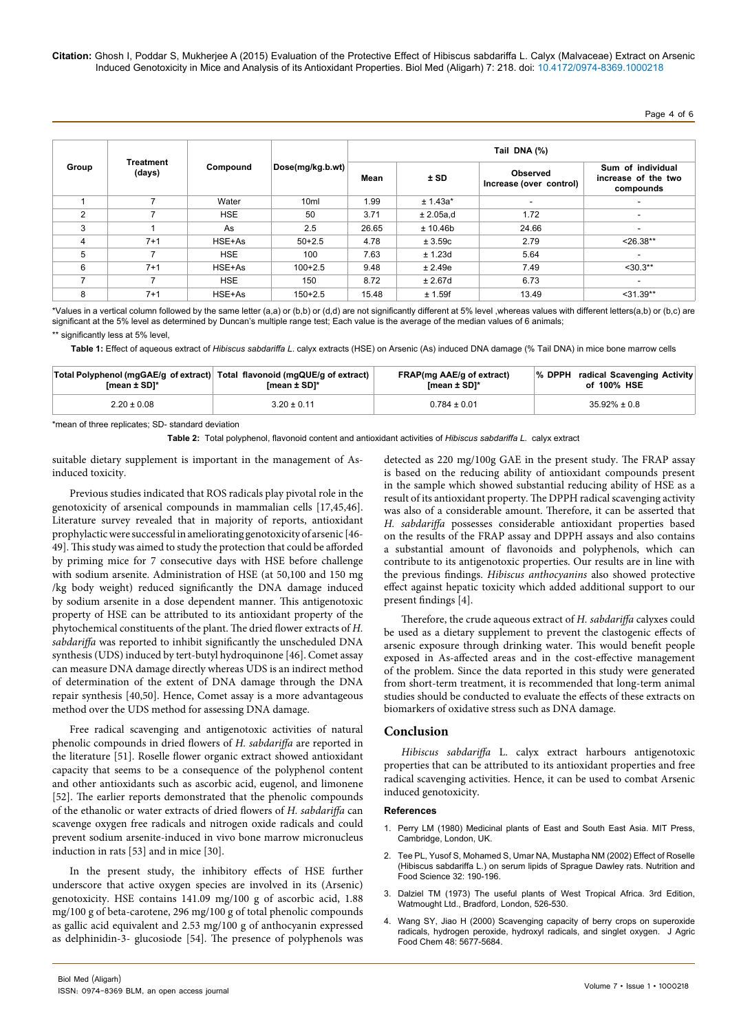Page 4 of 6

| Group | <b>Treatment</b><br>(days) | Compound   | Dose(mg/kg.b.wt) | Tail DNA (%) |              |                                            |                                                       |
|-------|----------------------------|------------|------------------|--------------|--------------|--------------------------------------------|-------------------------------------------------------|
|       |                            |            |                  | Mean         | $±$ SD       | <b>Observed</b><br>Increase (over control) | Sum of individual<br>increase of the two<br>compounds |
|       |                            | Water      | 10 <sub>ml</sub> | 1.99         | $± 1.43a*$   | ٠                                          | $\overline{\phantom{a}}$                              |
| 2     |                            | <b>HSE</b> | 50               | 3.71         | $± 2.05a$ ,d | 1.72                                       |                                                       |
| 3     |                            | As         | 2.5              | 26.65        | ± 10.46b     | 24.66                                      | ۰                                                     |
| 4     | $7 + 1$                    | HSE+As     | $50+2.5$         | 4.78         | ± 3.59c      | 2.79                                       | $< 26.38**$                                           |
| 5     |                            | <b>HSE</b> | 100              | 7.63         | ± 1.23d      | 5.64                                       | $\overline{\phantom{a}}$                              |
| 6     | $7 + 1$                    | HSE+As     | $100+2.5$        | 9.48         | ± 2.49e      | 7.49                                       | $< 30.3**$                                            |
| ⇁     |                            | <b>HSE</b> | 150              | 8.72         | ± 2.67d      | 6.73                                       | $\overline{\phantom{a}}$                              |
| 8     | $7 + 1$                    | HSE+As     | $150 + 2.5$      | 15.48        | ± 1.59f      | 13.49                                      | $<$ 31.39**                                           |

\*Values in a vertical column followed by the same letter (a,a) or (b,b) or (d,d) are not significantly different at 5% level ,whereas values with different letters(a,b) or (b,c) are significant at the 5% level as determined by Duncan's multiple range test; Each value is the average of the median values of 6 animals; \*\* significantly less at 5% level,

**Table 1:** Effect of aqueous extract of *Hibiscus sabdariffa L*. calyx extracts (HSE) on Arsenic (As) induced DNA damage (% Tail DNA) in mice bone marrow cells

| Total Polyphenol (mgGAE/g of extract) Total flavonoid (mgQUE/g of extract) | Imean ± SD1*    | FRAP(mg AAE/g of extract) | % DPPH radical Scavenging Activity |
|----------------------------------------------------------------------------|-----------------|---------------------------|------------------------------------|
| Imean ± SD1*                                                               |                 | Imean ± SD1*              | of 100% HSE                        |
| $2.20 \pm 0.08$                                                            | $3.20 \pm 0.11$ | $0.784 \pm 0.01$          | $35.92\% \pm 0.8$                  |

\*mean of three replicates; SD- standard deviation

**Table 2:** Total polyphenol, flavonoid content and antioxidant activities of *Hibiscus sabdariffa L*. calyx extract

suitable dietary supplement is important in the management of Asinduced toxicity.

Previous studies indicated that ROS radicals play pivotal role in the genotoxicity of arsenical compounds in mammalian cells [17,45,46]. Literature survey revealed that in majority of reports, antioxidant prophylactic were successful in ameliorating genotoxicity of arsenic [46- 49]. This study was aimed to study the protection that could be afforded by priming mice for 7 consecutive days with HSE before challenge with sodium arsenite. Administration of HSE (at 50,100 and 150 mg /kg body weight) reduced significantly the DNA damage induced by sodium arsenite in a dose dependent manner. This antigenotoxic property of HSE can be attributed to its antioxidant property of the phytochemical constituents of the plant. The dried flower extracts of *H. sabdariffa* was reported to inhibit significantly the unscheduled DNA synthesis (UDS) induced by tert-butyl hydroquinone [46]. Comet assay can measure DNA damage directly whereas UDS is an indirect method of determination of the extent of DNA damage through the DNA repair synthesis [40,50]. Hence, Comet assay is a more advantageous method over the UDS method for assessing DNA damage.

Free radical scavenging and antigenotoxic activities of natural phenolic compounds in dried flowers of *H. sabdariffa* are reported in the literature [51]. Roselle flower organic extract showed antioxidant capacity that seems to be a consequence of the polyphenol content and other antioxidants such as ascorbic acid, eugenol, and limonene [52]. The earlier reports demonstrated that the phenolic compounds of the ethanolic or water extracts of dried flowers of *H. sabdariffa* can scavenge oxygen free radicals and nitrogen oxide radicals and could prevent sodium arsenite-induced in vivo bone marrow micronucleus induction in rats [53] and in mice [30].

In the present study, the inhibitory effects of HSE further underscore that active oxygen species are involved in its (Arsenic) genotoxicity. HSE contains 141.09 mg/100 g of ascorbic acid, 1.88 mg/100 g of beta-carotene, 296 mg/100 g of total phenolic compounds as gallic acid equivalent and 2.53 mg/100 g of anthocyanin expressed as delphinidin-3- glucosiode [54]. The presence of polyphenols was

detected as 220 mg/100g GAE in the present study. The FRAP assay is based on the reducing ability of antioxidant compounds present in the sample which showed substantial reducing ability of HSE as a result of its antioxidant property. The DPPH radical scavenging activity was also of a considerable amount. Therefore, it can be asserted that *H. sabdariffa* possesses considerable antioxidant properties based on the results of the FRAP assay and DPPH assays and also contains a substantial amount of flavonoids and polyphenols, which can contribute to its antigenotoxic properties. Our results are in line with the previous findings. *Hibiscus anthocyanins* also showed protective effect against hepatic toxicity which added additional support to our present findings [4].

Therefore, the crude aqueous extract of *H. sabdariffa* calyxes could be used as a dietary supplement to prevent the clastogenic effects of arsenic exposure through drinking water. This would benefit people exposed in As-affected areas and in the cost-effective management of the problem. Since the data reported in this study were generated from short-term treatment, it is recommended that long-term animal studies should be conducted to evaluate the effects of these extracts on biomarkers of oxidative stress such as DNA damage.

# **Conclusion**

*Hibiscus sabdariffa* L. calyx extract harbours antigenotoxic properties that can be attributed to its antioxidant properties and free radical scavenging activities. Hence, it can be used to combat Arsenic induced genotoxicity.

#### **References**

- Perry LM (1980) Medicinal plants of East and South East Asia. MIT Press, [Cambridge, London, UK.](http://www.abebooks.com/Medicinal-Plants-East-Southeast-Asia-Attributed/984558948/bd)
- Tee PL, Yusof S, Mohamed S, Umar NA, Mustapha NM (2002) Effect of Roselle [\(Hibiscus sabdariffa L.\) on serum lipids of Sprague Dawley rats. Nutrition and](http://www.researchgate.net/publication/235277323_Effect_of_roselle_(Hibiscus_sabdariffa_L.)_on_serum_lipids_of_Sprague_Dawley_rats)  [Food Science 32: 190-196.](http://www.researchgate.net/publication/235277323_Effect_of_roselle_(Hibiscus_sabdariffa_L.)_on_serum_lipids_of_Sprague_Dawley_rats)
- Dalziel TM (1973) The useful plants of West Tropical Africa. 3rd Edition, Watmought Ltd., Bradford, London, 526-530.
- Wang SY, Jiao H (2000) Scavenging capacity of berry crops on superoxide radicals, hydrogen peroxide, hydroxyl radicals, and singlet oxygen. J Agric [Food Chem 48: 5677-5684.](http://www.ncbi.nlm.nih.gov/pubmed/11087538)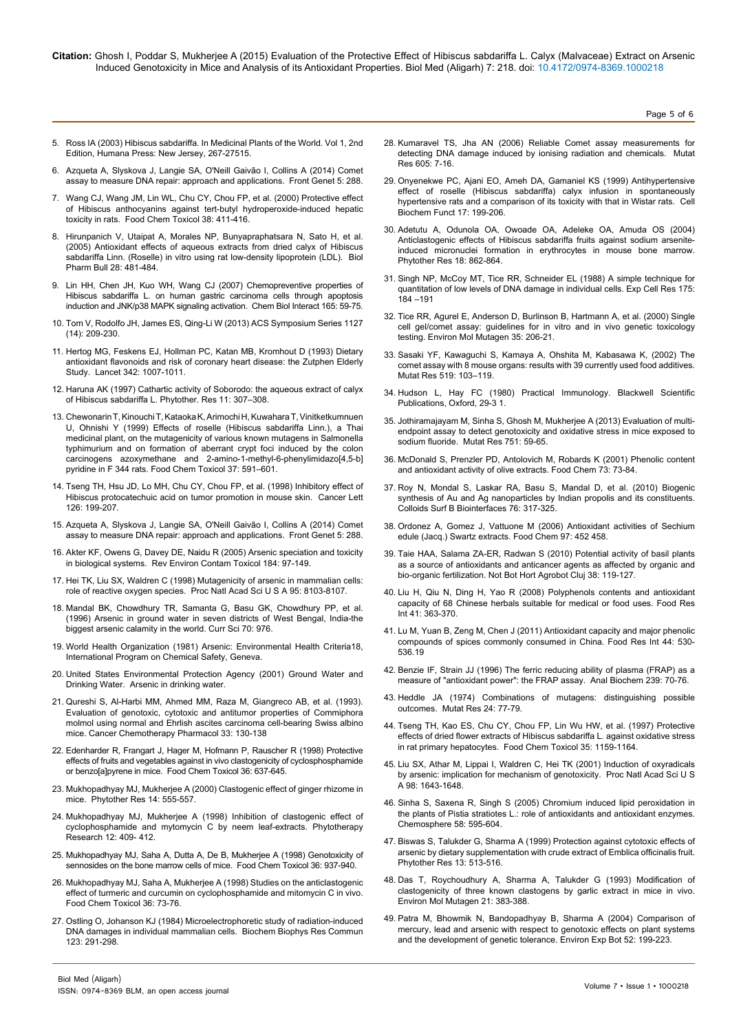Page 5 of 6

- 5. Ross IA (2003) Hibiscus sabdariffa. In Medicinal Plants of the World. Vol 1, 2nd Edition, Humana Press: New Jersey, 267-27515.
- 6. [Azqueta A, Slyskova J, Langie SA, O'Neill Gaivão I, Collins A \(2014\) Comet](http://www.ncbi.nlm.nih.gov/pubmed/25202323) [assay to measure DNA repair: approach and applications. Front Genet 5: 288.](http://www.ncbi.nlm.nih.gov/pubmed/25202323)
- 7. [Wang CJ, Wang JM, Lin WL, Chu CY, Chou FP, et al. \(2000\) Protective effect](http://www.ncbi.nlm.nih.gov/pubmed/10762726) [of Hibiscus anthocyanins against tert-butyl hydroperoxide-induced hepatic](http://www.ncbi.nlm.nih.gov/pubmed/10762726) [toxicity in rats. Food Chem Toxicol 38: 411-416.](http://www.ncbi.nlm.nih.gov/pubmed/10762726)
- 8. [Hirunpanich V, Utaipat A, Morales NP, Bunyapraphatsara N, Sato H, et al.](http://www.ncbi.nlm.nih.gov/pubmed/15744073) [\(2005\) Antioxidant effects of aqueous extracts from dried calyx of Hibiscus](http://www.ncbi.nlm.nih.gov/pubmed/15744073) [sabdariffa Linn. \(Roselle\) in vitro using rat low-density lipoprotein \(LDL\). Biol](http://www.ncbi.nlm.nih.gov/pubmed/15744073) [Pharm Bull 28: 481-484.](http://www.ncbi.nlm.nih.gov/pubmed/15744073)
- 9. [Lin HH, Chen JH, Kuo WH, Wang CJ \(2007\) Chemopreventive properties of](http://www.ncbi.nlm.nih.gov/pubmed/17145051) [Hibiscus sabdariffa L. on human gastric carcinoma cells through apoptosis](http://www.ncbi.nlm.nih.gov/pubmed/17145051) [induction and JNK/p38 MAPK signaling activation. Chem Biol Interact 165: 59-75.](http://www.ncbi.nlm.nih.gov/pubmed/17145051)
- 10. Tom V, Rodolfo JH, James ES, Qing-Li W (2013) ACS Symposium Series 1127 (14): 209-230.
- 11. [Hertog MG, Feskens EJ, Hollman PC, Katan MB, Kromhout D \(1993\) Dietary](http://www.ncbi.nlm.nih.gov/pubmed/8105262) [antioxidant flavonoids and risk of coronary heart disease: the Zutphen Elderly](http://www.ncbi.nlm.nih.gov/pubmed/8105262) [Study. Lancet 342: 1007-1011.](http://www.ncbi.nlm.nih.gov/pubmed/8105262)
- 12. [Haruna AK \(1997\) Cathartic activity of Soborodo: the aqueous extract of calyx](http://onlinelibrary.wiley.com/doi/10.1002/(SICI)1099-1573(199706)11:4%3C307::AID-PTR42%3E3.0.CO;2-R/abstract) [of Hibiscus sabdariffa L. Phytother. Res 11: 307–308.](http://onlinelibrary.wiley.com/doi/10.1002/(SICI)1099-1573(199706)11:4%3C307::AID-PTR42%3E3.0.CO;2-R/abstract)
- 13. [Chewonarin T, Kinouchi T, Kataoka K, Arimochi H, Kuwahara T, Vinitketkumnuen](http://www.ncbi.nlm.nih.gov/pubmed/10478827) [U, Ohnishi Y \(1999\) Effects of roselle \(Hibiscus sabdariffa Linn.\), a Thai](http://www.ncbi.nlm.nih.gov/pubmed/10478827) [medicinal plant, on the mutagenicity of various known mutagens in Salmonella](http://www.ncbi.nlm.nih.gov/pubmed/10478827) [typhimurium and on formation of aberrant crypt foci induced by the colon](http://www.ncbi.nlm.nih.gov/pubmed/10478827) [carcinogens azoxymethane and 2-amino-1-methyl-6-phenylimidazo\[4,5-b\]](http://www.ncbi.nlm.nih.gov/pubmed/10478827) [pyridine in F 344 rats. Food Chem Toxicol 37: 591–601.](http://www.ncbi.nlm.nih.gov/pubmed/10478827)
- 14. [Tseng TH, Hsu JD, Lo MH, Chu CY, Chou FP, et al. \(1998\) Inhibitory effect of](http://www.ncbi.nlm.nih.gov/pubmed/9585067) [Hibiscus protocatechuic acid on tumor promotion in mouse skin. Cancer Lett](http://www.ncbi.nlm.nih.gov/pubmed/9585067) [126: 199-207.](http://www.ncbi.nlm.nih.gov/pubmed/9585067)
- 15. [Azqueta A, Slyskova J, Langie SA, O'Neill Gaivão I, Collins A \(2014\) Comet](http://www.ncbi.nlm.nih.gov/pubmed/25202323) [assay to measure DNA repair: approach and applications. Front Genet 5: 288.](http://www.ncbi.nlm.nih.gov/pubmed/25202323)
- 16. [Akter KF, Owens G, Davey DE, Naidu R \(2005\) Arsenic speciation and toxicity](http://www.ncbi.nlm.nih.gov/pubmed/15790174) [in biological systems. Rev Environ Contam Toxicol 184: 97-149.](http://www.ncbi.nlm.nih.gov/pubmed/15790174)
- 17. [Hei TK, Liu SX, Waldren C \(1998\) Mutagenicity of arsenic in mammalian cells:](http://www.ncbi.nlm.nih.gov/pubmed/9653147) [role of reactive oxygen species. Proc Natl Acad Sci U S A 95: 8103-8107.](http://www.ncbi.nlm.nih.gov/pubmed/9653147)
- 18. [Mandal BK, Chowdhury TR, Samanta G, Basu GK, Chowdhury PP, et al.](http://www.currentscience.ac.in/Downloads/article_id_070_11_0976_0986_0.pdf) [\(1996\) Arsenic in ground water in seven districts of West Bengal, India-the](http://www.currentscience.ac.in/Downloads/article_id_070_11_0976_0986_0.pdf) [biggest arsenic calamity in the world. Curr Sci 70: 976.](http://www.currentscience.ac.in/Downloads/article_id_070_11_0976_0986_0.pdf)
- 19. World Health Organization (1981) Arsenic: Environmental Health Criteria18, International Program on Chemical Safety, Geneva.
- 20. United States Environmental Protection Agency (2001) Ground Water and Drinking Water. Arsenic in drinking water.
- 21. [Qureshi S, Al-Harbi MM, Ahmed MM, Raza M, Giangreco AB, et al. \(1993\).](http://link.springer.com/article/10.1007%2FBF00685330) [Evaluation of genotoxic, cytotoxic and antitumor properties of Commiphora](http://link.springer.com/article/10.1007%2FBF00685330) [molmol using normal and Ehrlish ascites carcinoma cell-bearing Swiss albino](http://link.springer.com/article/10.1007%2FBF00685330) [mice. Cancer Chemotherapy Pharmacol 33: 130-138](http://link.springer.com/article/10.1007%2FBF00685330)
- 22. [Edenharder R, Frangart J, Hager M, Hofmann P, Rauscher R \(1998\) Protective](http://www.ncbi.nlm.nih.gov/pubmed/9734714) [effects of fruits and vegetables against in vivo clastogenicity of cyclosphosphamide](http://www.ncbi.nlm.nih.gov/pubmed/9734714) [or benzo\[a\]pyrene in mice. Food Chem Toxicol 36: 637-645.](http://www.ncbi.nlm.nih.gov/pubmed/9734714)
- 23. [Mukhopadhyay MJ, Mukherjee A \(2000\) Clastogenic effect of ginger rhizome in](http://www.ncbi.nlm.nih.gov/pubmed/11054851) [mice. Phytother Res 14: 555-557.](http://www.ncbi.nlm.nih.gov/pubmed/11054851)
- 24. [Mukhopadhyay MJ, Mukherjee A \(1998\) Inhibition of clastogenic effect of](http://onlinelibrary.wiley.com/doi/10.1002/(SICI)1099-1573(199809)12:6%3C409::AID-PTR324%3E3.0.CO;2-5/abstract) [cyclophosphamide and mytomycin C by neem leaf-extracts. Phytotherapy](http://onlinelibrary.wiley.com/doi/10.1002/(SICI)1099-1573(199809)12:6%3C409::AID-PTR324%3E3.0.CO;2-5/abstract) [Research 12: 409- 412.](http://onlinelibrary.wiley.com/doi/10.1002/(SICI)1099-1573(199809)12:6%3C409::AID-PTR324%3E3.0.CO;2-5/abstract)
- 25. [Mukhopadhyay MJ, Saha A, Dutta A, De B, Mukherjee A \(1998\) Genotoxicity of](http://www.ncbi.nlm.nih.gov/pubmed/9771555) [sennosides on the bone marrow cells of mice. Food Chem Toxicol 36: 937-940.](http://www.ncbi.nlm.nih.gov/pubmed/9771555)
- 26. [Mukhopadhyay MJ, Saha A, Mukherjee A \(1998\) Studies on the anticlastogenic](http://www.ncbi.nlm.nih.gov/pubmed/9487365) [effect of turmeric and curcumin on cyclophosphamide and mitomycin C in vivo.](http://www.ncbi.nlm.nih.gov/pubmed/9487365) [Food Chem Toxicol 36: 73-76.](http://www.ncbi.nlm.nih.gov/pubmed/9487365)
- 27. [Ostling O, Johanson KJ \(1984\) Microelectrophoretic study of radiation-induced](http://www.ncbi.nlm.nih.gov/pubmed/6477583) [DNA damages in individual mammalian cells. Biochem Biophys Res Commun](http://www.ncbi.nlm.nih.gov/pubmed/6477583) [123: 291-298.](http://www.ncbi.nlm.nih.gov/pubmed/6477583)
- 28. Kumaravel TS[, Jha AN \(2006\) Reliable Comet assay measurements for](http://www.ncbi.nlm.nih.gov/pubmed/16621680)  [detecting DNA damage induced by ionising radiation and chemicals. Mutat](http://www.ncbi.nlm.nih.gov/pubmed/16621680)  [Res 605: 7-16.](http://www.ncbi.nlm.nih.gov/pubmed/16621680)
- 29. [Onyenekwe PC, Ajani EO, Ameh DA, Gamaniel KS \(1999\) Antihypertensive](http://www.ncbi.nlm.nih.gov/pubmed/10451541)  [effect of roselle \(Hibiscus sabdariffa\) calyx infusion in spontaneously](http://www.ncbi.nlm.nih.gov/pubmed/10451541)  [hypertensive rats and a comparison of its toxicity with that in Wistar rats. Cell](http://www.ncbi.nlm.nih.gov/pubmed/10451541)  [Biochem Funct 17: 199-206.](http://www.ncbi.nlm.nih.gov/pubmed/10451541)
- 30. [Adetutu A, Odunola OA, Owoade OA, Adeleke OA, Amuda OS \(2004\)](http://www.ncbi.nlm.nih.gov/pubmed/15551375)  [Anticlastogenic effects of Hibiscus sabdariffa fruits against sodium arsenite](http://www.ncbi.nlm.nih.gov/pubmed/15551375)[induced micronuclei formation in erythrocytes in mouse bone marrow.](http://www.ncbi.nlm.nih.gov/pubmed/15551375)  [Phytother Res 18: 862-864.](http://www.ncbi.nlm.nih.gov/pubmed/15551375)
- 31. [Singh NP, McCoy MT, Tice RR, Schneider EL \(1988\) A simple technique for](http://www.ncbi.nlm.nih.gov/pubmed/3345800)  [quantitation of low levels of DNA damage in individual cells. Exp Cell Res 175:](http://www.ncbi.nlm.nih.gov/pubmed/3345800)  [184 –191](http://www.ncbi.nlm.nih.gov/pubmed/3345800)
- 32. [Tice RR, Agurel E, Anderson D, Burlinson B, Hartmann A, et al. \(2000\) Single](http://www.ncbi.nlm.nih.gov/pubmed/10737956)  [cell gel/comet assay: guidelines for in vitro and in vivo genetic toxicology](http://www.ncbi.nlm.nih.gov/pubmed/10737956)  [testing. Environ Mol Mutagen 35: 206-21.](http://www.ncbi.nlm.nih.gov/pubmed/10737956)
- 33. [Sasaki YF, Kawaguchi S, Kamaya A, Ohshita M, Kabasawa K, \(2002\) The](http://www.ncbi.nlm.nih.gov/pubmed/12160896)  [comet assay with 8 mouse organs: results with 39 currently used food additives.](http://www.ncbi.nlm.nih.gov/pubmed/12160896)  [Mutat Res 519: 103–119.](http://www.ncbi.nlm.nih.gov/pubmed/12160896)
- 34. Hudson L, Hay FC (1980) Practical Immunology. Blackwell Scientific Publications, Oxford, 29-3 1.
- 35. Jothiramajayam M[, Sinha S, Ghosh M, Mukherjee A \(2013\) Evaluation of multi](http://www.ncbi.nlm.nih.gov/pubmed/23201538)[endpoint assay to detect genotoxicity and oxidative stress in mice exposed to](http://www.ncbi.nlm.nih.gov/pubmed/23201538)  [sodium fluoride. Mutat Res 751: 59-65.](http://www.ncbi.nlm.nih.gov/pubmed/23201538)
- 36. [McDonald S, Prenzler PD, Antolovich M, Robards K \(2001\) Phenolic content](http://www.ingentaconnect.com/content/els/03088146/2001/00000073/00000001/art00288)  [and antioxidant activity of olive extracts. Food Chem 73: 73-84.](http://www.ingentaconnect.com/content/els/03088146/2001/00000073/00000001/art00288)
- 37. [Roy N, Mondal S, Laskar RA, Basu S, Mandal D, et al. \(2010\) Biogenic](http://www.ncbi.nlm.nih.gov/pubmed/20015622)  [synthesis of Au and Ag nanoparticles by Indian propolis and its constituents.](http://www.ncbi.nlm.nih.gov/pubmed/20015622)  [Colloids Surf B Biointerfaces 76: 317-325.](http://www.ncbi.nlm.nih.gov/pubmed/20015622)
- 38. [Ordonez A, Gomez J, Vattuone M \(2006\) Antioxidant activities of Sechium](http://www.researchgate.net/publication/223044852_Antioxidant_activities_of_Sechium_edule_(Jacq.)_Swartz_extracts)  [edule \(Jacq.\) Swartz extracts. Food Chem 97: 452 458.](http://www.researchgate.net/publication/223044852_Antioxidant_activities_of_Sechium_edule_(Jacq.)_Swartz_extracts)
- 39. [Taie HAA, Salama ZA-ER, Radwan S \(2010\) Potential activity of basil plants](E:\DATA\Tushar\BLM\BLM Vol. 6\BLM Vol. 6.4\BLM Vol. 6.4_W\BLM-14-1122(218)\notulaebotanicae.ro\index.php\nbha\article\download\3534\4430)  [as a source of antioxidants and anticancer agents as affected by organic and](E:\DATA\Tushar\BLM\BLM Vol. 6\BLM Vol. 6.4\BLM Vol. 6.4_W\BLM-14-1122(218)\notulaebotanicae.ro\index.php\nbha\article\download\3534\4430)  [bio-organic fertilization. Not Bot Hort Agrobot Cluj 38: 119-127.](E:\DATA\Tushar\BLM\BLM Vol. 6\BLM Vol. 6.4\BLM Vol. 6.4_W\BLM-14-1122(218)\notulaebotanicae.ro\index.php\nbha\article\download\3534\4430)
- 40. [Liu H, Qiu N, Ding H, Yao R \(2008\) Polyphenols contents and antioxidant](http://www.researchgate.net/publication/248425635_Polyphenols_contents_and_antioxidant_capacity_of_68_Chinese_herbals_suitable_for_medical_or_food_uses)  [capacity of 68 Chinese herbals suitable for medical or food uses. Food Res](http://www.researchgate.net/publication/248425635_Polyphenols_contents_and_antioxidant_capacity_of_68_Chinese_herbals_suitable_for_medical_or_food_uses)  [Int 41: 363-370.](http://www.researchgate.net/publication/248425635_Polyphenols_contents_and_antioxidant_capacity_of_68_Chinese_herbals_suitable_for_medical_or_food_uses)
- 41. [Lu M, Yuan B, Zeng M, Chen J \(2011\) Antioxidant capacity and major phenolic](http://libra.msra.cn/Publication/49481151/antioxidant-capacity-and-major-phenolic-compounds-of-spices-commonly-consumed-in-china)  [compounds of spices commonly consumed in China. Food Res Int 44: 530-](http://libra.msra.cn/Publication/49481151/antioxidant-capacity-and-major-phenolic-compounds-of-spices-commonly-consumed-in-china) [536.19](http://libra.msra.cn/Publication/49481151/antioxidant-capacity-and-major-phenolic-compounds-of-spices-commonly-consumed-in-china)
- 42. [Benzie IF, Strain JJ \(1996\) The ferric reducing ability of plasma \(FRAP\) as a](http://www.ncbi.nlm.nih.gov/pubmed/8660627)  [measure of "antioxidant power": the FRAP assay. Anal Biochem 239: 70-76.](http://www.ncbi.nlm.nih.gov/pubmed/8660627)
- 43. [Heddle JA \(1974\) Combinations of mutagens: distinguishing possible](http://www.ncbi.nlm.nih.gov/pubmed/4843979)  [outcomes. Mutat Res 24: 77-79.](http://www.ncbi.nlm.nih.gov/pubmed/4843979)
- 44. [Tseng TH, Kao ES, Chu CY, Chou FP, Lin Wu HW, et al. \(1997\) Protective](http://www.ncbi.nlm.nih.gov/pubmed/9449221)  [effects of dried flower extracts of Hibiscus sabdariffa L. against oxidative stress](http://www.ncbi.nlm.nih.gov/pubmed/9449221)  [in rat primary hepatocytes. Food Chem Toxicol 35: 1159-1164.](http://www.ncbi.nlm.nih.gov/pubmed/9449221)
- 45. [Liu SX, Athar M, Lippai I, Waldren C, Hei TK \(2001\) Induction of oxyradicals](http://www.ncbi.nlm.nih.gov/pubmed/11172004)  [by arsenic: implication for mechanism of genotoxicity. Proc Natl Acad Sci U S](http://www.ncbi.nlm.nih.gov/pubmed/11172004)  [A 98: 1643-1648.](http://www.ncbi.nlm.nih.gov/pubmed/11172004)
- 46. [Sinha S, Saxena R, Singh S \(2005\) Chromium induced lipid peroxidation in](http://www.ncbi.nlm.nih.gov/pubmed/15620753)  [the plants of Pistia stratiotes L.: role of antioxidants and antioxidant enzymes.](http://www.ncbi.nlm.nih.gov/pubmed/15620753)  [Chemosphere 58: 595-604.](http://www.ncbi.nlm.nih.gov/pubmed/15620753)
- 47. [Biswas S, Talukder G, Sharma A \(1999\) Protection against cytotoxic effects of](http://www.ncbi.nlm.nih.gov/pubmed/10479764)  [arsenic by dietary supplementation with crude extract of Emblica officinalis fruit.](http://www.ncbi.nlm.nih.gov/pubmed/10479764)  [Phytother Res 13: 513-516.](http://www.ncbi.nlm.nih.gov/pubmed/10479764)
- 48. [Das T, Roychoudhury A, Sharma A, Talukder G \(1993\) Modification of](http://www.ncbi.nlm.nih.gov/pubmed/8491218)  [clastogenicity of three known clastogens by garlic extract in mice in vivo.](http://www.ncbi.nlm.nih.gov/pubmed/8491218)  [Environ Mol Mutagen 21: 383-388.](http://www.ncbi.nlm.nih.gov/pubmed/8491218)
- 49. [Patra M, Bhowmik N, Bandopadhyay B, Sharma A \(2004\) Comparison of](http://repository.ias.ac.in/38950/)  [mercury, lead and arsenic with respect to genotoxic effects on plant systems](http://repository.ias.ac.in/38950/)  [and the development of genetic tolerance. Environ Exp Bot 52: 199-223.](http://repository.ias.ac.in/38950/)